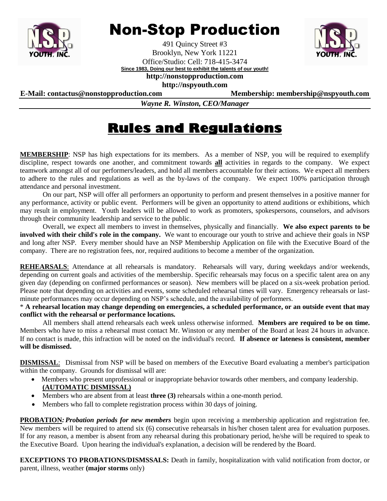

## Non-Stop Production

491 Quincy Street #3 Brooklyn, New York 11221 Office/Studio: Cell: 718-415-3474 **Since 1983, Doing our best to exhibit the talents of our youth!**



**http://nonstopproduction.com http://nspyouth.com**

**E-Mail: contactus@nonstopproduction.com Membership: membership@nspyouth.com**

*Wayne R. Winston, CEO/Manager*

## **Rules and Regulations**

**MEMBERSHIP**: NSP has high expectations for its members. As a member of NSP, you will be required to exemplify discipline, respect towards one another, and commitment towards **all** activities in regards to the company. We expect teamwork amongst all of our performers/leaders, and hold all members accountable for their actions. We expect all members to adhere to the rules and regulations as well as the by-laws of the company. We expect 100% participation through attendance and personal investment.

On our part, NSP will offer all performers an opportunity to perform and present themselves in a positive manner for any performance, activity or public event. Performers will be given an opportunity to attend auditions or exhibitions, which may result in employment. Youth leaders will be allowed to work as promoters, spokespersons, counselors, and advisors through their community leadership and service to the public.

Overall, we expect all members to invest in themselves, physically and financially. **We also expect parents to be involved with their child's role in the company.** We want to encourage our youth to strive and achieve their goals in NSP and long after NSP. Every member should have an NSP Membership Application on file with the Executive Board of the company. There are no registration fees, nor, required auditions to become a member of the organization.

**REHEARSALS**: Attendance at all rehearsals is mandatory. Rehearsals will vary, during weekdays and/or weekends, depending on current goals and activities of the membership. Specific rehearsals may focus on a specific talent area on any given day (depending on confirmed performances or season). New members will be placed on a six-week probation period. Please note that depending on activities and events, some scheduled rehearsal times will vary. Emergency rehearsals or lastminute performances may occur depending on NSP's schedule, and the availability of performers.

\* **A rehearsal location may change depending on emergencies, a scheduled performance, or an outside event that may conflict with the rehearsal or performance locations.**

All members shall attend rehearsals each week unless otherwise informed. **Members are required to be on time.**  Members who have to miss a rehearsal must contact Mr. Winston or any member of the Board at least 24 hours in advance. If no contact is made, this infraction will be noted on the individual's record. **If absence or lateness is consistent, member will be dismissed.**

**DISMISSAL**: Dismissal from NSP will be based on members of the Executive Board evaluating a member's participation within the company. Grounds for dismissal will are:

- Members who present unprofessional or inappropriate behavior towards other members, and company leadership. **(AUTOMATIC DISMISSAL)**
- Members who are absent from at least **three (3)** rehearsals within a one-month period.
- Members who fall to complete registration process within 30 days of joining.

**PROBATION***:Probation periods for new members* begin upon receiving a membership application and registration fee. New members will be required to attend six (6) consecutive rehearsals in his/her chosen talent area for evaluation purposes. If for any reason, a member is absent from any rehearsal during this probationary period, he/she will be required to speak to the Executive Board. Upon hearing the individual's explanation, a decision will be rendered by the Board.

**EXCEPTIONS TO PROBATIONS/DISMSSALS:** Death in family, hospitalization with valid notification from doctor, or parent, illness, weather **(major storms** only)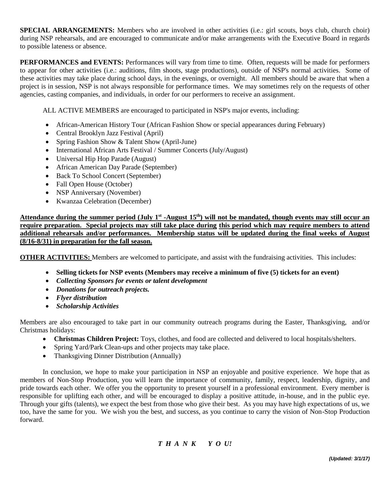**SPECIAL ARRANGEMENTS:** Members who are involved in other activities (i.e.: girl scouts, boys club, church choir) during NSP rehearsals, and are encouraged to communicate and/or make arrangements with the Executive Board in regards to possible lateness or absence.

**PERFORMANCES and EVENTS:** Performances will vary from time to time. Often, requests will be made for performers to appear for other activities (i.e.: auditions, film shoots, stage productions), outside of NSP's normal activities. Some of these activities may take place during school days, in the evenings, or overnight. All members should be aware that when a project is in session, NSP is not always responsible for performance times. We may sometimes rely on the requests of other agencies, casting companies, and individuals, in order for our performers to receive an assignment.

ALL ACTIVE MEMBERS are encouraged to participated in NSP's major events, including:

- African-American History Tour (African Fashion Show or special appearances during February)
- Central Brooklyn Jazz Festival (April)
- Spring Fashion Show & Talent Show (April-June)
- International African Arts Festival / Summer Concerts (July/August)
- Universal Hip Hop Parade (August)
- African American Day Parade (September)
- Back To School Concert (September)
- Fall Open House (October)
- NSP Anniversary (November)
- Kwanzaa Celebration (December)

Attendance during the summer period (July 1<sup>st</sup> -August 15<sup>th</sup>) will not be mandated, though events may still occur an **require preparation. Special projects may still take place during this period which may require members to attend additional rehearsals and/or performances. Membership status will be updated during the final weeks of August (8/16-8/31) in preparation for the fall season.**

**OTHER ACTIVITIES:** Members are welcomed to participate, and assist with the fundraising activities. This includes:

- **Selling tickets for NSP events (Members may receive a minimum of five (5) tickets for an event)**
- *Collecting Sponsors for events or talent development*
- *Donations for outreach projects.*
- *Flyer distribution*
- *Scholarship Activities*

Members are also encouraged to take part in our community outreach programs during the Easter, Thanksgiving, and/or Christmas holidays:

- **Christmas Children Project:** Toys, clothes, and food are collected and delivered to local hospitals/shelters.
- Spring Yard/Park Clean-ups and other projects may take place.
- Thanksgiving Dinner Distribution (Annually)

In conclusion, we hope to make your participation in NSP an enjoyable and positive experience. We hope that as members of Non-Stop Production, you will learn the importance of community, family, respect, leadership, dignity, and pride towards each other. We offer you the opportunity to present yourself in a professional environment. Every member is responsible for uplifting each other, and will be encouraged to display a positive attitude, in-house, and in the public eye. Through your gifts (talents), we expect the best from those who give their best. As you may have high expectations of us, we too, have the same for you. We wish you the best, and success, as you continue to carry the vision of Non-Stop Production forward.

*T H A N K Y O U!*